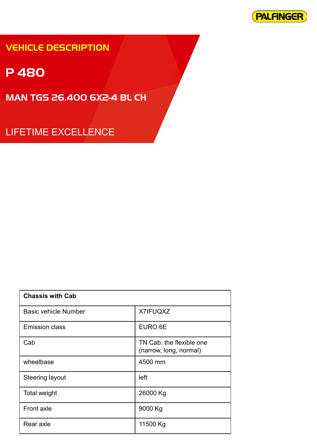

Vehicle Description

## P 480

MAN TGS 26.400 6x2-4 BL CH

## LIFETIME EXCELLENCE

| <b>Chassis with Cab</b>     |                                                    |
|-----------------------------|----------------------------------------------------|
| <b>Basic vehicle Number</b> | <b>X7IFUQXZ</b>                                    |
| <b>Emission class</b>       | EURO 6E                                            |
| Cab                         | TN Cab: the flexible one<br>(narrow, long, normal) |
| wheelbase                   | 4500 mm                                            |
| Steering layout             | left                                               |
| Total weight                | 26000 Kg                                           |
| Front axle                  | 9000 Kg                                            |
| Rear axle                   | 11500 Kg                                           |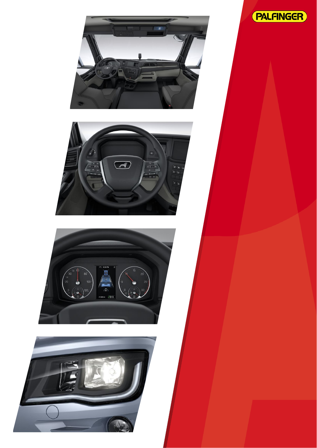







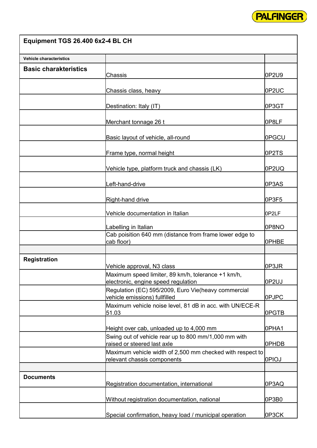

| Equipment TGS 26.400 6x2-4 BL CH |                                                                                           |              |
|----------------------------------|-------------------------------------------------------------------------------------------|--------------|
| <b>Vehicle characteristics</b>   |                                                                                           |              |
| <b>Basic charakteristics</b>     | Chassis                                                                                   | 0P2U9        |
|                                  | Chassis class, heavy                                                                      | OP2UC        |
|                                  | Destination: Italy (IT)                                                                   | OP3GT        |
|                                  | Merchant tonnage 26 t                                                                     | OP8LF        |
|                                  | Basic layout of vehicle, all-round                                                        | <b>OPGCU</b> |
|                                  | Frame type, normal height                                                                 | OP2TS        |
|                                  | Vehicle type, platform truck and chassis (LK)                                             | 0P2UQ        |
|                                  | Left-hand-drive                                                                           | OP3AS        |
|                                  | <b>Right-hand drive</b>                                                                   | 0P3F5        |
|                                  | Vehicle documentation in Italian                                                          | OP2LF        |
|                                  | Labelling in Italian                                                                      | OP8NO        |
|                                  | Cab poisition 640 mm (distance from frame lower edge to<br>cab floor)                     | OPHBE        |
|                                  |                                                                                           |              |
| <b>Registration</b>              | Vehicle approval, N3 class                                                                | 0P3JR        |
|                                  | Maximum speed limiter, 89 km/h, tolerance +1 km/h,<br>electronic, engine speed regulation | 0P2UJ        |
|                                  | Regulation (EC) 595/2009, Euro Vie(heavy commercial<br>vehicle emissions) fullfilled      | OPJPC        |
|                                  | Maximum vehicle noise level, 81 dB in acc. with UN/ECE-R<br>51.03                         | OPGTB        |
|                                  | Height over cab, unloaded up to 4,000 mm                                                  | OPHA1        |
|                                  | Swing out of vehicle rear up to 800 mm/1,000 mm with<br>raised or steered last axle       | OPHDB        |
|                                  | Maximum vehicle width of 2,500 mm checked with respect to<br>relevant chassis components  | <b>OPIOJ</b> |
|                                  |                                                                                           |              |
| <b>Documents</b>                 | Registration documentation, international                                                 | OP3AQ        |
|                                  | Without registration documentation, national                                              | 0P3B0        |
|                                  |                                                                                           |              |
|                                  | Special confirmation, heavy load / municipal operation                                    | 0P3CK        |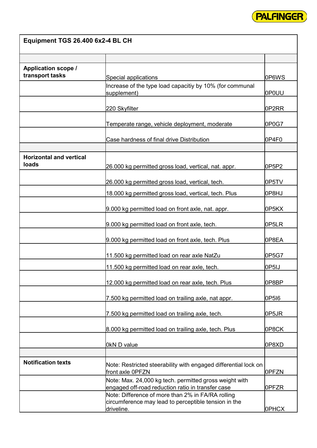

| Equipment TGS 26.400 6x2-4 BL CH              |                                                                                                                         |        |
|-----------------------------------------------|-------------------------------------------------------------------------------------------------------------------------|--------|
|                                               |                                                                                                                         |        |
| <b>Application scope /</b><br>transport tasks | Special applications                                                                                                    | OP6WS  |
|                                               | Increase of the type load capacitiy by 10% (for communal<br>supplement)                                                 | OPOUU  |
|                                               | 220 Skyfilter                                                                                                           | 0P2RR  |
|                                               | Temperate range, vehicle deployment, moderate                                                                           | 0P0G7  |
|                                               | Case hardness of final drive Distribution                                                                               | I0P4F0 |
| <b>Horizontal and vertical</b>                |                                                                                                                         |        |
| loads                                         | 26.000 kg permitted gross load, vertical, nat. appr.                                                                    | 0P5P2  |
|                                               | 26.000 kg permitted gross load, vertical, tech.                                                                         | 0P5TV  |
|                                               | 18.000 kg permitted gross load, vertical, tech. Plus                                                                    | OP8HJ  |
|                                               | 9.000 kg permitted load on front axle, nat. appr.                                                                       | OP5KX  |
|                                               | 9.000 kg permitted load on front axle, tech.                                                                            | 0P5LR  |
|                                               | 9.000 kg permitted load on front axle, tech. Plus                                                                       | 0P8EA  |
|                                               | 11.500 kg permitted load on rear axle NatZu                                                                             | 0P5G7  |
|                                               | 11.500 kg permitted load on rear axle, tech.                                                                            | 0P5IJ  |
|                                               | 12.000 kg permitted load on rear axle, tech. Plus                                                                       | l0P8BP |
|                                               | 7.500 kg permitted load on trailing axle, nat appr.                                                                     | 0P516  |
|                                               | 7.500 kg permitted load on trailing axle, tech.                                                                         | OP5JR  |
|                                               | 8.000 kg permitted load on trailing axle, tech. Plus                                                                    | 0P8CK  |
|                                               | OkN D value                                                                                                             | l0P8XD |
| <b>Notification texts</b>                     | Note: Restricted steerability with engaged differential lock on<br>front axle OPFZN                                     | OPFZN  |
|                                               | Note: Max. 24,000 kg tech. permitted gross weight with<br>engaged off-road reduction ratio in transfer case             | OPFZR  |
|                                               | Note: Difference of more than 2% in FA/RA rolling<br>circumference may lead to perceptible tension in the<br>driveline. | OPHCX  |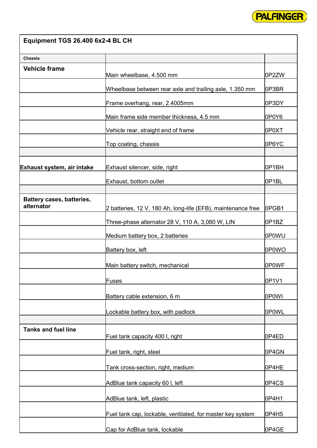

| Equipment TGS 26.400 6x2-4 BL CH               |                                                              |              |
|------------------------------------------------|--------------------------------------------------------------|--------------|
|                                                |                                                              |              |
| <b>Chassis</b>                                 |                                                              |              |
| <b>Vehicle frame</b>                           | Main wheelbase, 4.500 mm                                     | 0P2ZW        |
|                                                | Wheelbase between rear axle and trailing axle, 1.350 mm      | OP3BR        |
|                                                | Frame overhang, rear, 2.4005mm                               | OP3DY        |
|                                                | Main frame side member thickness, 4.5 mm                     | 0P0Y6        |
|                                                | Vehicle rear, straight end of frame                          | OP0XT        |
|                                                | Top coating, chassis                                         | 0P6YC        |
| Exhaust system, air intake                     | Exhaust silencer, side, right                                | OP1BH        |
|                                                | Exhaust, bottom outlet                                       | OP1BL        |
|                                                |                                                              |              |
| <b>Battery cases, batteries,</b><br>alternator | 2 batteries, 12 V, 180 Ah, long-life (EFB), maintenance free | OPGB1        |
|                                                | Three-phase alternator 28 V, 110 A, 3,080 W, LIN             | OP1BZ        |
|                                                | Medium battery box, 2 batteries                              | OP0WU        |
|                                                | Battery box, left                                            | 0P0WO        |
|                                                | Main battery switch, mechanical                              | <b>OPOWF</b> |
|                                                | Fuses                                                        | 0P1V1        |
|                                                | Battery cable extension, 6 m                                 | OPOWI        |
|                                                | Lockable battery box, with padlock                           | OP0WL        |
| <b>Tanks and fuel line</b>                     |                                                              |              |
|                                                | Fuel tank capacity 400 I, right                              | OP4ED        |
|                                                | Fuel tank, right, steel                                      | 0P4GN        |
|                                                | Tank cross-section, right, medium                            | OP4HE        |
|                                                | AdBlue tank capacity 60 I, left                              | OP4CS        |
|                                                | AdBlue tank, left, plastic                                   | 0P4H1        |
|                                                | Fuel tank cap, lockable, ventilated, for master key system   | 0P4H5        |
|                                                | Cap for AdBlue tank, lockable                                | OP4GE        |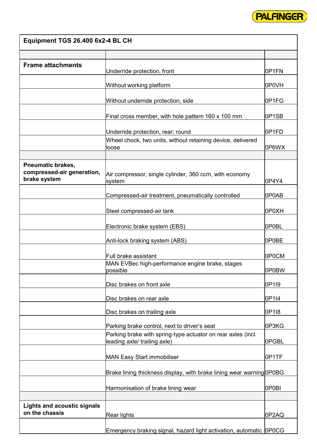

| Equipment TGS 26.400 6x2-4 BL CH                                       |                                                                                              |                    |
|------------------------------------------------------------------------|----------------------------------------------------------------------------------------------|--------------------|
|                                                                        |                                                                                              |                    |
| <b>Frame attachments</b>                                               | Underride protection, front                                                                  | OP1FN              |
|                                                                        | Without working platform                                                                     | OP0VH              |
|                                                                        | Without underride protection, side                                                           | OP1FG              |
|                                                                        |                                                                                              |                    |
|                                                                        | Final cross member, with hole pattern 160 x 100 mm                                           | OP <sub>1</sub> SB |
|                                                                        | Underride protection, rear; round                                                            | OP1FD              |
|                                                                        | Wheel chock, two units, without retaining device, delivered<br>lloose                        | l0P6WX             |
|                                                                        |                                                                                              |                    |
| <b>Pneumatic brakes,</b><br>compressed-air generation,<br>brake system | Air compressor, single cylinder, 360 ccm, with economy<br>system                             | 0P4Y4              |
|                                                                        | Compressed-air treatment, pneumatically controlled                                           | OP0AB              |
|                                                                        |                                                                                              |                    |
|                                                                        | Steel compressed-air tank                                                                    | OP0XH              |
|                                                                        | Electronic brake system (EBS)                                                                | OP0BL              |
|                                                                        | Anti-lock braking system (ABS)                                                               | l0P0BE             |
|                                                                        | Full brake assistant                                                                         | OPOCM              |
|                                                                        | MAN EVBec high-performance engine brake, stages<br>possible                                  | 0P0BW              |
|                                                                        | Disc brakes on front axle                                                                    | 0P119              |
|                                                                        | Disc brakes on rear axle                                                                     | 0P114              |
|                                                                        | Disc brakes on trailing axle                                                                 | 0P118              |
|                                                                        | Parking brake control, next to driver's seat                                                 | 0P3KG              |
|                                                                        | Parking brake with spring-type actuator on rear axles (incl.<br>leading axle/ trailing axle) | OPGBL              |
|                                                                        | MAN Easy Start immobiliser                                                                   | OP1TF              |
|                                                                        | Brake lining thickness display, with brake lining wear warning 0P0BG                         |                    |
|                                                                        | Harmonisation of brake lining wear                                                           | OPOBI              |
| <b>Lights and acoustic signals</b>                                     |                                                                                              |                    |
| on the chassis                                                         | Rear lights                                                                                  | OP2AQ              |
|                                                                        | Emergency braking signal, hazard light activation, automatic OPOCG                           |                    |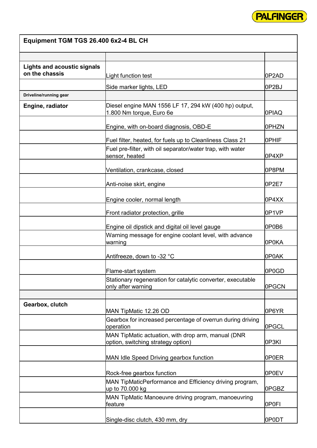

| Equipment TGM TGS 26.400 6x2-4 BL CH                 |                                                                                          |                    |
|------------------------------------------------------|------------------------------------------------------------------------------------------|--------------------|
|                                                      |                                                                                          |                    |
| <b>Lights and acoustic signals</b><br>on the chassis | Light function test                                                                      | 0P2AD              |
|                                                      | Side marker lights, LED                                                                  | OP2BJ              |
| Driveline/running gear                               |                                                                                          |                    |
| Engine, radiator                                     | Diesel engine MAN 1556 LF 17, 294 kW (400 hp) output,<br>1.800 Nm torque, Euro 6e        | OPIAQ              |
|                                                      | Engine, with on-board diagnosis, OBD-E                                                   | 0PHZN              |
|                                                      | Fuel filter, heated, for fuels up to Cleanliness Class 21                                | OPHIF              |
|                                                      | Fuel pre-filter, with oil separator/water trap, with water<br>sensor, heated             | 0P4XP              |
|                                                      | Ventilation, crankcase, closed                                                           | OP8PM              |
|                                                      | Anti-noise skirt, engine                                                                 | 0P2E7              |
|                                                      | Engine cooler, normal length                                                             | OP4XX              |
|                                                      | Front radiator protection, grille                                                        | OP1VP              |
|                                                      | Engine oil dipstick and digital oil level gauge                                          | OP0B6              |
|                                                      | Warning message for engine coolant level, with advance<br>warning                        | <b>IOPOKA</b>      |
|                                                      | Antifreeze, down to -32 °C                                                               | OP0AK              |
|                                                      | Flame-start system                                                                       | OP <sub>0</sub> GD |
|                                                      | Stationary regeneration for catalytic converter, executable<br>only after warning        | OPGCN              |
|                                                      |                                                                                          |                    |
| Gearbox, clutch                                      | MAN TipMatic 12.26 OD                                                                    | 0P6YR              |
|                                                      | Gearbox for increased percentage of overrun during driving<br>operation                  | OPGCL              |
|                                                      | MAN TipMatic actuation, with drop arm, manual (DNR<br>option, switching strategy option) | 0P3KI              |
|                                                      | MAN Idle Speed Driving gearbox function                                                  | 0P0ER              |
|                                                      | Rock-free gearbox function                                                               | OP0EV              |
|                                                      | MAN TipMaticPerformance and Efficiency driving program,<br>up to 70.000 kg               | OPGBZ              |
|                                                      | MAN TipMatic Manoeuvre driving program, manoeuvring<br>feature                           | OPOFI              |
|                                                      | Single-disc clutch, 430 mm, dry                                                          | OPODT              |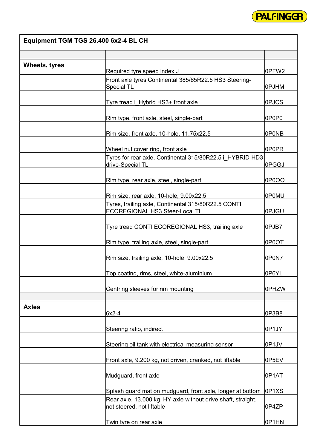

| Equipment TGM TGS 26.400 6x2-4 BL CH |                                                                                              |                                |
|--------------------------------------|----------------------------------------------------------------------------------------------|--------------------------------|
|                                      |                                                                                              |                                |
| <b>Wheels, tyres</b>                 | Required tyre speed index J                                                                  | OPFW <sub>2</sub>              |
|                                      | Front axle tyres Continental 385/65R22.5 HS3 Steering-                                       |                                |
|                                      | <b>Special TL</b>                                                                            | OPJHM                          |
|                                      | Tyre tread i Hybrid HS3+ front axle                                                          | OPJCS                          |
|                                      | Rim type, front axle, steel, single-part                                                     | OPOPO                          |
|                                      |                                                                                              |                                |
|                                      | Rim size, front axle, 10-hole, 11.75x22.5                                                    | OPON <sub>B</sub>              |
|                                      | Wheel nut cover ring, front axle                                                             | OPOPR                          |
|                                      | Tyres for rear axle, Continental 315/80R22.5 i HYBRID HD3                                    |                                |
|                                      | drive-Special TL                                                                             | OPGGJ                          |
|                                      | Rim type, rear axle, steel, single-part                                                      | 0P0OO                          |
|                                      | Rim size, rear axle, 10-hole, 9.00x22.5                                                      | <b>OPOMU</b>                   |
|                                      | Tyres, trailing axle, Continental 315/80R22.5 CONTI<br><b>ECOREGIONAL HS3 Steer-Local TL</b> | <b>OPJGU</b>                   |
|                                      | Tyre tread CONTI ECOREGIONAL HS3, trailing axle                                              | OPJB7                          |
|                                      | Rim type, trailing axle, steel, single-part                                                  | OP0OT                          |
|                                      | Rim size, trailing axle, 10-hole, 9.00x22.5                                                  | OPON7                          |
|                                      | Top coating, rims, steel, white-aluminium                                                    | OP6YL                          |
|                                      | Centring sleeves for rim mounting                                                            | OPHZW                          |
|                                      |                                                                                              |                                |
| <b>Axles</b>                         | $6x2-4$                                                                                      | 0P3B8                          |
|                                      | Steering ratio, indirect                                                                     | OP1JY                          |
|                                      | Steering oil tank with electrical measuring sensor                                           | OP1JV                          |
|                                      | Front axle, 9.200 kg, not driven, cranked, not liftable                                      | OP5EV                          |
|                                      | Mudguard, front axle                                                                         | OP1AT                          |
|                                      | Splash guard mat on mudguard, front axle, longer at bottom                                   | OP <sub>1</sub> X <sub>S</sub> |
|                                      | Rear axle, 13,000 kg, HY axle without drive shaft, straight,<br>not steered, not liftable    | 0P4ZP                          |
|                                      | Twin tyre on rear axle                                                                       | OP <sub>1</sub> HN             |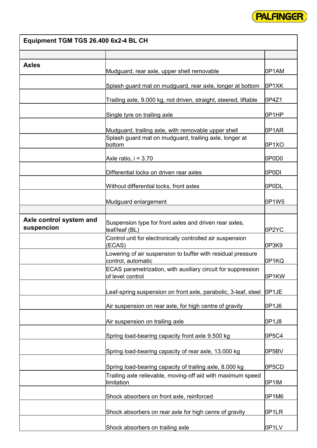

| Equipment TGM TGS 26.400 6x2-4 BL CH  |                                                                                   |                    |
|---------------------------------------|-----------------------------------------------------------------------------------|--------------------|
|                                       |                                                                                   |                    |
| <b>Axles</b>                          | Mudguard, rear axle, upper shell removable                                        | OP1AM              |
|                                       | Splash guard mat on mudguard, rear axle, longer at bottom                         | OP1XK              |
|                                       | Trailing axle, 9.000 kg, not driven, straight, steered, liftable                  | 0P4Z1              |
|                                       | Single tyre on trailing axle                                                      | OP1HP              |
|                                       | Mudguard, trailing axle, with removable upper shell                               | OP1AR              |
|                                       | Splash guard mat on mudguard, trailing axle, longer at<br><b>bottom</b>           | OP <sub>1</sub> XO |
|                                       | Axle ratio, $i = 3.70$                                                            | OPOD <sub>0</sub>  |
|                                       | Differential locks on driven rear axles                                           | OPODI              |
|                                       | Without differential locks, front axles                                           | OPODL              |
|                                       | Mudguard enlargement                                                              | 0P1W5              |
|                                       |                                                                                   |                    |
| Axle control system and<br>suspencion | Suspension type for front axles and driven rear axles,<br>leaf/leaf (BL)          | 0P2YC              |
|                                       | Control unit for electronically controlled air suspension<br>(ECAS)               | 0P3K9              |
|                                       | Lowering of air suspension to buffer with residual pressure<br>control, automatic | OP1KQ              |
|                                       | ECAS parametrization, with auxiliary circuit for suppression<br>of level control  | OP1KW              |
|                                       | Leaf-spring suspension on front axle, parabolic, 3-leaf, steel                    | OP1JE              |
|                                       | Air suspension on rear axle, for high centre of gravity                           | 0P1J6              |
|                                       | Air suspension on trailing axle                                                   | 0P1J8              |
|                                       | Spring load-bearing capacity front axle 9.500 kg                                  | 0P5C4              |
|                                       | Spring load-bearing capacity of rear axle, 13.000 kg                              | OP5BV              |
|                                       | Spring load-bearing capacity of trailing axle, 8.000 kg                           | <b>OP5CD</b>       |
|                                       | Trailing axle relievable, moving-off aid with maximum speed<br>limitation         | OP <sub>1</sub> IM |
|                                       | Shock absorbers on front axle, reinforced                                         | 0P1M6              |
|                                       | Shock absorbers on rear axle for high cenre of gravity                            | OP1LR              |
|                                       | Shock absorbers on trailing axle                                                  | OP <sub>1</sub> LV |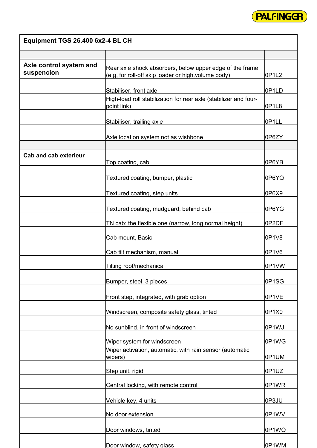

| Equipment TGS 26.400 6x2-4 BL CH      |                                                                                                                 |       |
|---------------------------------------|-----------------------------------------------------------------------------------------------------------------|-------|
|                                       |                                                                                                                 |       |
| Axle control system and<br>suspencion | Rear axle shock absorbers, below upper edge of the frame<br>(e.g, for roll-off skip loader or high.volume body) | 0P1L2 |
|                                       | Stabiliser, front axle                                                                                          | OP1LD |
|                                       | High-load roll stabilization for rear axle (stabilizer and four-<br>point link)                                 | 0P1L8 |
|                                       | Stabiliser, trailing axle                                                                                       | OP1LL |
|                                       | Axle location system not as wishbone                                                                            | 0P6ZY |
| Cab and cab exterieur                 | Top coating, cab                                                                                                | OP6YB |
|                                       | Textured coating, bumper, plastic                                                                               | 0P6YQ |
|                                       | Textured coating, step units                                                                                    | 0P6X9 |
|                                       | Textured coating, mudguard, behind cab                                                                          | OP6YG |
|                                       | TN cab: the flexible one (narrow, long normal height)                                                           | OP2DF |
|                                       | Cab mount, Basic                                                                                                | 0P1V8 |
|                                       | Cab tilt mechanism, manual                                                                                      | 0P1V6 |
|                                       | Tilting roof/mechanical                                                                                         | OP1VW |
|                                       | Bumper, steel, 3 pieces                                                                                         | OP1SG |
|                                       | Front step, integrated, with grab option                                                                        | OP1VE |
|                                       | Windscreen, composite safety glass, tinted                                                                      | 0P1X0 |
|                                       | No sunblind, in front of windscreen                                                                             | OP1WJ |
|                                       | Wiper system for windscreen                                                                                     | 0P1WG |
|                                       | Wiper activation, automatic, with rain sensor (automatic<br>wipers)                                             | OP1UM |
|                                       | Step unit, rigid                                                                                                | OP1UZ |
|                                       | Central locking, with remote control                                                                            | 0P1WR |
|                                       | Vehicle key, 4 units                                                                                            | OP3JU |
|                                       | No door extension                                                                                               | OP1WV |
|                                       | Door windows, tinted                                                                                            | 0P1WO |
|                                       | Door window, safety glass                                                                                       | OP1WM |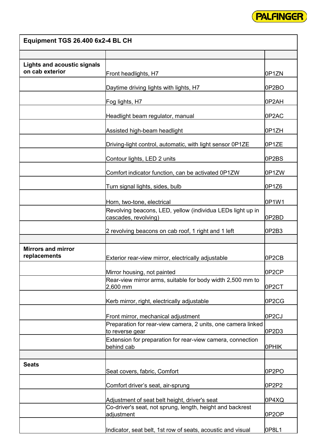

| Equipment TGS 26.400 6x2-4 BL CH                      |                                                                                    |       |
|-------------------------------------------------------|------------------------------------------------------------------------------------|-------|
|                                                       |                                                                                    |       |
| <b>Lights and acoustic signals</b><br>on cab exterior | Front headlights, H7                                                               | 0P1ZN |
|                                                       | Daytime driving lights with lights, H7                                             | OP2BO |
|                                                       | Fog lights, H7                                                                     | 0P2AH |
|                                                       | Headlight beam regulator, manual                                                   | OP2AC |
|                                                       | Assisted high-beam headlight                                                       | OP1ZH |
|                                                       | Driving-light control, automatic, with light sensor 0P1ZE                          | OP1ZE |
|                                                       | Contour lights, LED 2 units                                                        | 0P2BS |
|                                                       | Comfort indicator function, can be activated 0P1ZW                                 | 0P1ZW |
|                                                       | Turn signal lights, sides, bulb                                                    | 0P1Z6 |
|                                                       | Horn, two-tone, electrical                                                         | 0P1W1 |
|                                                       | Revolving beacons, LED, yellow (individua LEDs light up in<br>cascades, revolving) | OP2BD |
|                                                       | 2 revolving beacons on cab roof, 1 right and 1 left                                | 0P2B3 |
|                                                       |                                                                                    |       |
| <b>Mirrors and mirror</b><br>replacements             | Exterior rear-view mirror, electrically adjustable                                 | 0P2CB |
|                                                       | Mirror housing, not painted                                                        | 0P2CP |
|                                                       | Rear-view mirror arms, suitable for body width 2,500 mm to<br>2,600 mm             | OP2CT |
|                                                       | Kerb mirror, right, electrically adjustable                                        | 0P2CG |
|                                                       | Front mirror, mechanical adjustment                                                | OP2CJ |
|                                                       | Preparation for rear-view camera, 2 units, one camera linked<br>to reverse gear    | 0P2D3 |
|                                                       | Extension for preparation for rear-view camera, connection<br>behind cab           | 0PHIK |
|                                                       |                                                                                    |       |
| <b>Seats</b>                                          | Seat covers, fabric, Comfort                                                       | 0P2PO |
|                                                       | Comfort driver's seat, air-sprung                                                  | 0P2P2 |
|                                                       | Adjustment of seat belt height, driver's seat                                      | 0P4XQ |
|                                                       | Co-driver's seat, not sprung, length, height and backrest<br>adjustment            | 0P2OP |
|                                                       | Indicator, seat belt, 1st row of seats, acoustic and visual                        | 0P8L1 |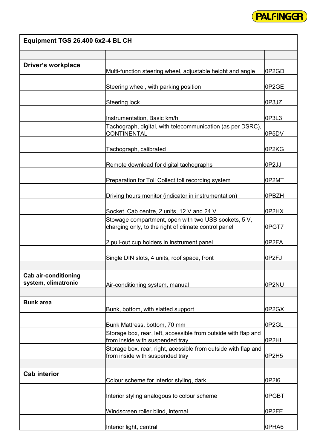

| Equipment TGS 26.400 6x2-4 BL CH                   |                                                                                                              |                   |
|----------------------------------------------------|--------------------------------------------------------------------------------------------------------------|-------------------|
|                                                    |                                                                                                              |                   |
| Driver's workplace                                 | Multi-function steering wheel, adjustable height and angle                                                   | OP2GD             |
|                                                    |                                                                                                              |                   |
|                                                    | Steering wheel, with parking position                                                                        | OP2GE             |
|                                                    | Steering lock                                                                                                | OP3JZ             |
|                                                    | Instrumentation, Basic km/h                                                                                  | OP3L3             |
|                                                    | Tachograph, digital, with telecommunication (as per DSRC),<br><b>CONTINENTAL</b>                             | OP5DV             |
|                                                    | Tachograph, calibrated                                                                                       | 0P2KG             |
|                                                    | Remote download for digital tachographs                                                                      | OP2JJ             |
|                                                    | Preparation for Toll Collect toll recording system                                                           | OP2MT             |
|                                                    | Driving hours monitor (indicator in instrumentation)                                                         | <b>OPBZH</b>      |
|                                                    | Socket. Cab centre, 2 units, 12 V and 24 V                                                                   | OP2HX             |
|                                                    | Stowage compartment, open with two USB sockets, 5 V,<br>charging only, to the right of climate control panel | OPGT7             |
|                                                    | 2 pull-out cup holders in instrument panel                                                                   | OP2FA             |
|                                                    | Single DIN slots, 4 units, roof space, front                                                                 | OP2FJ             |
| <b>Cab air-conditioning</b><br>system, climatronic | Air-conditioning system, manual                                                                              | OP2NU             |
|                                                    |                                                                                                              |                   |
| <b>Bunk area</b>                                   | Bunk, bottom, with slatted support                                                                           | 0P2GX             |
|                                                    |                                                                                                              |                   |
|                                                    | Bunk Mattress, bottom, 70 mm<br>Storage box, rear, left, accessible from outside with flap and               | OP <sub>2GL</sub> |
|                                                    | from inside with suspended tray                                                                              | OP2HI             |
|                                                    | Storage box, rear, right, acessible from outside with flap and<br>from inside with suspended tray            | 0P2H5             |
|                                                    |                                                                                                              |                   |
| <b>Cab interior</b>                                | Colour scheme for interior styling, dark                                                                     | 0P216             |
|                                                    | Interior styling analogous to colour scheme                                                                  | OPGBT             |
|                                                    | Windscreen roller blind, internal                                                                            | OP2FE             |
|                                                    | Interior light, central                                                                                      | OPHA6             |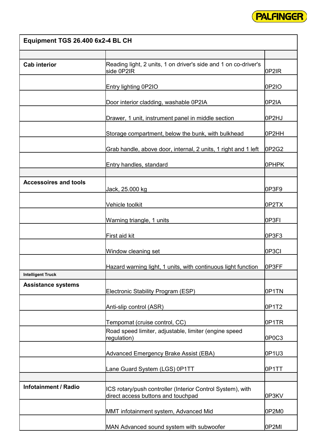

| Equipment TGS 26.400 6x2-4 BL CH |                                                                                                  |       |
|----------------------------------|--------------------------------------------------------------------------------------------------|-------|
|                                  |                                                                                                  |       |
| <b>Cab interior</b>              | Reading light, 2 units, 1 on driver's side and 1 on co-driver's<br>side 0P2IR                    | 0P2IR |
|                                  | Entry lighting 0P2IO                                                                             | 0P2IO |
|                                  | Door interior cladding, washable 0P2IA                                                           | 0P2IA |
|                                  | Drawer, 1 unit, instrument panel in middle section                                               | OP2HJ |
|                                  | Storage compartment, below the bunk, with bulkhead                                               | OP2HH |
|                                  | Grab handle, above door, internal, 2 units, 1 right and 1 left                                   | 0P2G2 |
|                                  | Entry handles, standard                                                                          | OPHPK |
| <b>Accessoires and tools</b>     | Jack, 25.000 kg                                                                                  | 0P3F9 |
|                                  | Vehicle toolkit                                                                                  | 0P2TX |
|                                  | Warning triangle, 1 units                                                                        | OP3FI |
|                                  | First aid kit                                                                                    | 0P3F3 |
|                                  | Window cleaning set                                                                              | OP3CI |
|                                  | Hazard warning light, 1 units, with continuous light function                                    | OP3FF |
| <b>Intelligent Truck</b>         |                                                                                                  |       |
| <b>Assistance systems</b>        | Electronic Stability Program (ESP)                                                               | OP1TN |
|                                  | Anti-slip control (ASR)                                                                          | 0P1T2 |
|                                  | Tempomat (cruise control, CC)                                                                    | OP1TR |
|                                  | Road speed limiter, adjustable, limiter (engine speed<br>regulation)                             | 0P0C3 |
|                                  | Advanced Emergency Brake Assist (EBA)                                                            | 0P1U3 |
|                                  | Lane Guard System (LGS) 0P1TT                                                                    | OP1TT |
| <b>Infotainment / Radio</b>      | ICS rotary/push controller (Interior Control System), with<br>direct access buttons and touchpad | OP3KV |
|                                  | MMT infotainment system, Advanced Mid                                                            | 0P2M0 |
|                                  | MAN Advanced sound system with subwoofer                                                         | OP2MI |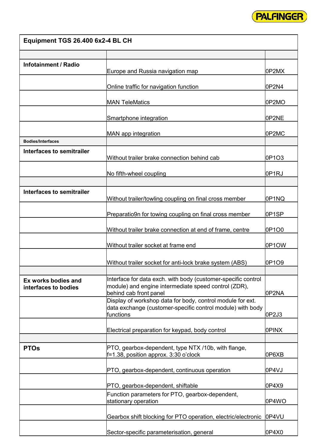

| Equipment TGS 26.400 6x2-4 BL CH            |                                                                                                                                                 |              |  |
|---------------------------------------------|-------------------------------------------------------------------------------------------------------------------------------------------------|--------------|--|
|                                             |                                                                                                                                                 |              |  |
| <b>Infotainment / Radio</b>                 |                                                                                                                                                 |              |  |
|                                             | Europe and Russia navigation map                                                                                                                | 0P2MX        |  |
|                                             | Online traffic for navigation function                                                                                                          | 0P2N4        |  |
|                                             | <b>MAN TeleMatics</b>                                                                                                                           | OP2MO        |  |
|                                             |                                                                                                                                                 |              |  |
|                                             | Smartphone integration                                                                                                                          | <b>OP2NE</b> |  |
|                                             | MAN app integration                                                                                                                             | OP2MC        |  |
| <b>Bodies/Interfaces</b>                    |                                                                                                                                                 |              |  |
| Interfaces to semitrailer                   | Without trailer brake connection behind cab                                                                                                     | 0P1O3        |  |
|                                             | No fifth-wheel coupling                                                                                                                         | l0P1RJ       |  |
|                                             |                                                                                                                                                 |              |  |
| Interfaces to semitrailer                   |                                                                                                                                                 |              |  |
|                                             | Without trailer/towling coupling on final cross member                                                                                          | 0P1NQ        |  |
|                                             | Preparatio9n for towing coupling on final cross member                                                                                          | 0P1SP        |  |
|                                             | Without trailer brake connection at end of frame, centre                                                                                        | 0P1O0        |  |
|                                             | Without trailer socket at frame end                                                                                                             | OP1OW        |  |
|                                             |                                                                                                                                                 |              |  |
|                                             | Without trailer socket for anti-lock brake system (ABS)                                                                                         | 0P1O9        |  |
| Ex works bodies and<br>interfaces to bodies | Interface for data exch. with body (customer-specific control<br>module) and engine intermediate speed control (ZDR),<br>behind cab front panel | l0P2NA       |  |
|                                             | Display of workshop data for body, control module for ext.<br>data exchange (customer-specific control module) with body                        |              |  |
|                                             | functions                                                                                                                                       | 0P2J3        |  |
|                                             | Electrical preparation for keypad, body control                                                                                                 | OPINX        |  |
|                                             |                                                                                                                                                 |              |  |
| <b>PTOs</b>                                 | PTO, gearbox-dependent, type NTX /10b, with flange,                                                                                             |              |  |
|                                             | f=1.38, position approx. 3:30 o'clock                                                                                                           | 0P6XB        |  |
|                                             | PTO, gearbox-dependent, continuous operation                                                                                                    | OP4VJ        |  |
|                                             | PTO, gearbox-dependent, shiftable                                                                                                               | I0P4X9       |  |
|                                             | Function parameters for PTO, gearbox-dependent,<br>stationary operation                                                                         | l0P4WO       |  |
|                                             | Gearbox shift blocking for PTO operation, electric/electronic                                                                                   | OP4VU        |  |
|                                             | Sector-specific parameterisation, general                                                                                                       | 0P4X0        |  |